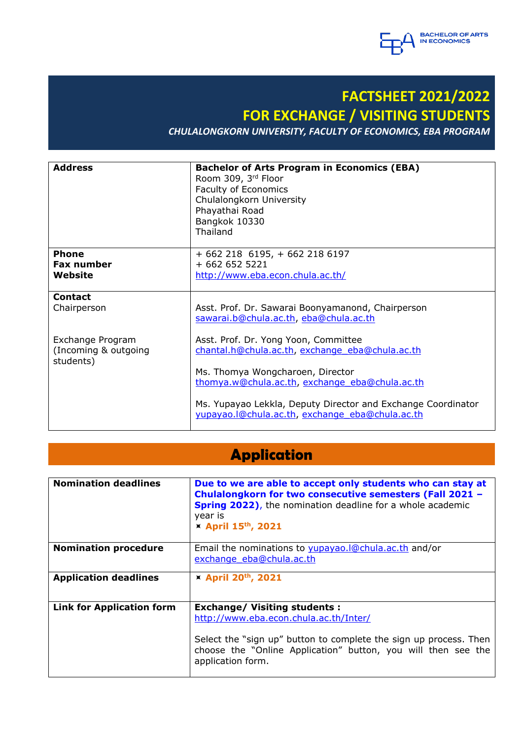

## **FACTSHEET 2021/2022 FOR EXCHANGE / VISITING STUDENTS**

*CHULALONGKORN UNIVERSITY, FACULTY OF ECONOMICS, EBA PROGRAM*

| <b>Address</b>                           | <b>Bachelor of Arts Program in Economics (EBA)</b><br>Room 309, 3rd Floor<br>Faculty of Economics<br>Chulalongkorn University<br>Phayathai Road<br>Bangkok 10330<br>Thailand |
|------------------------------------------|------------------------------------------------------------------------------------------------------------------------------------------------------------------------------|
| <b>Phone</b>                             | + 662 218 6195, + 662 218 6197                                                                                                                                               |
| <b>Fax number</b>                        | $+6626525221$                                                                                                                                                                |
| Website                                  | http://www.eba.econ.chula.ac.th/                                                                                                                                             |
|                                          |                                                                                                                                                                              |
| Contact<br>Chairperson                   | Asst. Prof. Dr. Sawarai Boonyamanond, Chairperson<br>sawarai.b@chula.ac.th, eba@chula.ac.th                                                                                  |
|                                          |                                                                                                                                                                              |
| Exchange Program<br>(Incoming & outgoing | Asst. Prof. Dr. Yong Yoon, Committee                                                                                                                                         |
|                                          | chantal.h@chula.ac.th, exchange eba@chula.ac.th                                                                                                                              |
| students)                                |                                                                                                                                                                              |
|                                          | Ms. Thomya Wongcharoen, Director                                                                                                                                             |
|                                          | thomya.w@chula.ac.th, exchange eba@chula.ac.th                                                                                                                               |
|                                          | Ms. Yupayao Lekkla, Deputy Director and Exchange Coordinator<br>yupayao.l@chula.ac.th, exchange eba@chula.ac.th                                                              |

#### **Application**

| <b>Nomination deadlines</b>      | Due to we are able to accept only students who can stay at<br>Chulalongkorn for two consecutive semesters (Fall 2021 -<br><b>Spring 2022)</b> , the nomination deadline for a whole academic<br>year is<br>$\times$ April 15 <sup>th</sup> , 2021 |
|----------------------------------|---------------------------------------------------------------------------------------------------------------------------------------------------------------------------------------------------------------------------------------------------|
| <b>Nomination procedure</b>      | Email the nominations to yupayao. I@chula.ac.th and/or<br>exchange eba@chula.ac.th                                                                                                                                                                |
| <b>Application deadlines</b>     | $\times$ April 20 <sup>th</sup> , 2021                                                                                                                                                                                                            |
| <b>Link for Application form</b> | <b>Exchange/ Visiting students:</b><br>http://www.eba.econ.chula.ac.th/Inter/<br>Select the "sign up" button to complete the sign up process. Then<br>choose the "Online Application" button, you will then see the<br>application form.          |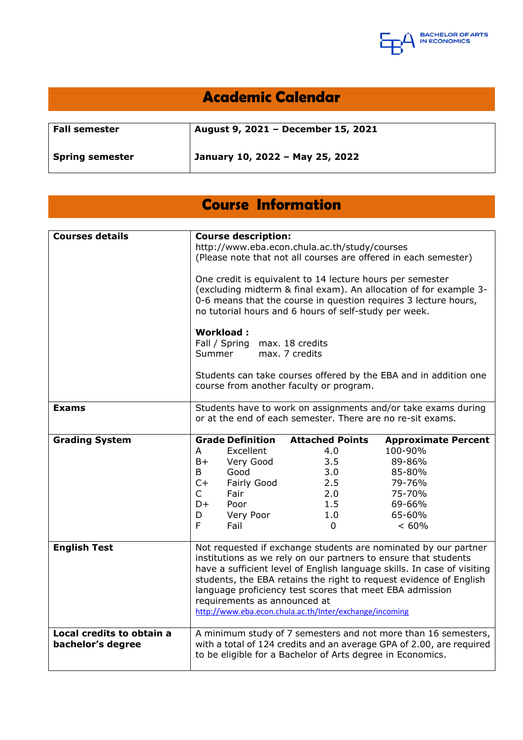

# **Academic Calendar**

| <b>Fall semester</b>   | August 9, 2021 - December 15, 2021 |
|------------------------|------------------------------------|
| <b>Spring semester</b> | January 10, 2022 - May 25, 2022    |

## **Course Information**

| <b>Courses details</b>                         | <b>Course description:</b><br>http://www.eba.econ.chula.ac.th/study/courses<br>(Please note that not all courses are offered in each semester)<br>One credit is equivalent to 14 lecture hours per semester<br>(excluding midterm & final exam). An allocation of for example 3-<br>0-6 means that the course in question requires 3 lecture hours,<br>no tutorial hours and 6 hours of self-study per week.<br>Workload:<br>Fall / Spring max. 18 credits<br>Summer<br>max. 7 credits |                                                                                                                      |                                                                              |                                                                                                            |
|------------------------------------------------|----------------------------------------------------------------------------------------------------------------------------------------------------------------------------------------------------------------------------------------------------------------------------------------------------------------------------------------------------------------------------------------------------------------------------------------------------------------------------------------|----------------------------------------------------------------------------------------------------------------------|------------------------------------------------------------------------------|------------------------------------------------------------------------------------------------------------|
|                                                |                                                                                                                                                                                                                                                                                                                                                                                                                                                                                        |                                                                                                                      | course from another faculty or program.                                      | Students can take courses offered by the EBA and in addition one                                           |
| <b>Exams</b>                                   | Students have to work on assignments and/or take exams during<br>or at the end of each semester. There are no re-sit exams.                                                                                                                                                                                                                                                                                                                                                            |                                                                                                                      |                                                                              |                                                                                                            |
| <b>Grading System</b>                          | A<br>$B+$<br>B<br>$C+$<br>$\mathsf{C}$<br>D+<br>D.<br>F                                                                                                                                                                                                                                                                                                                                                                                                                                | <b>Grade Definition</b><br>Excellent<br>Very Good<br>Good<br><b>Fairly Good</b><br>Fair<br>Poor<br>Very Poor<br>Fail | <b>Attached Points</b><br>4.0<br>3.5<br>3.0<br>2.5<br>2.0<br>1.5<br>1.0<br>0 | <b>Approximate Percent</b><br>100-90%<br>89-86%<br>85-80%<br>79-76%<br>75-70%<br>69-66%<br>65-60%<br>< 60% |
| <b>English Test</b>                            | Not requested if exchange students are nominated by our partner<br>institutions as we rely on our partners to ensure that students<br>have a sufficient level of English language skills. In case of visiting<br>students, the EBA retains the right to request evidence of English<br>language proficiency test scores that meet EBA admission<br>requirements as announced at<br>http://www.eba.econ.chula.ac.th/Inter/exchange/incoming                                             |                                                                                                                      |                                                                              |                                                                                                            |
| Local credits to obtain a<br>bachelor's degree | A minimum study of 7 semesters and not more than 16 semesters,<br>with a total of 124 credits and an average GPA of 2.00, are required<br>to be eligible for a Bachelor of Arts degree in Economics.                                                                                                                                                                                                                                                                                   |                                                                                                                      |                                                                              |                                                                                                            |